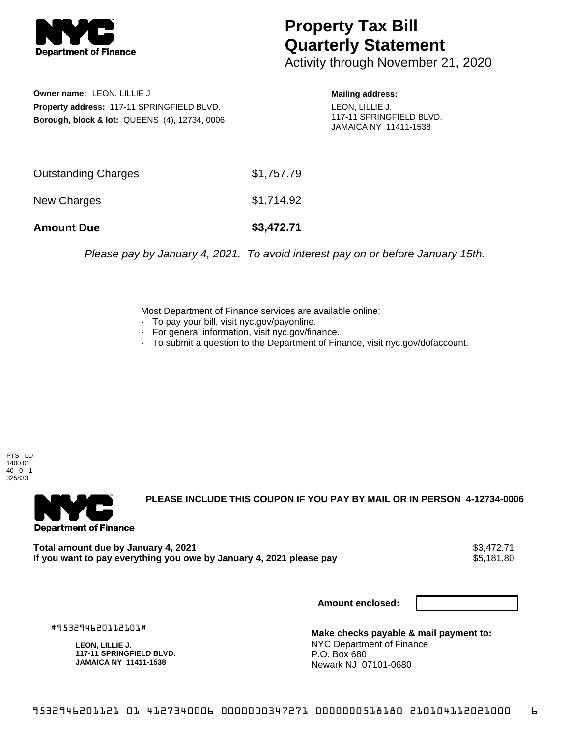

## **Property Tax Bill Quarterly Statement**

Activity through November 21, 2020

**Owner name:** LEON, LILLIE J **Property address:** 117-11 SPRINGFIELD BLVD. **Borough, block & lot:** QUEENS (4), 12734, 0006 **Mailing address:**

LEON, LILLIE J. 117-11 SPRINGFIELD BLVD. JAMAICA NY 11411-1538

| <b>Amount Due</b>   | \$3,472.71 |
|---------------------|------------|
| New Charges         | \$1,714.92 |
| Outstanding Charges | \$1,757.79 |

Please pay by January 4, 2021. To avoid interest pay on or before January 15th.

Most Department of Finance services are available online:

- · To pay your bill, visit nyc.gov/payonline.
- For general information, visit nyc.gov/finance.
- · To submit a question to the Department of Finance, visit nyc.gov/dofaccount.





**PLEASE INCLUDE THIS COUPON IF YOU PAY BY MAIL OR IN PERSON 4-12734-0006** 

**Total amount due by January 4, 2021**<br>If you want to pay everything you owe by January 4, 2021 please pay **show that the summan way of the set of** 5,181 If you want to pay everything you owe by January 4, 2021 please pay

**Amount enclosed:**

#953294620112101#

**LEON, LILLIE J. 117-11 SPRINGFIELD BLVD. JAMAICA NY 11411-1538**

**Make checks payable & mail payment to:** NYC Department of Finance P.O. Box 680 Newark NJ 07101-0680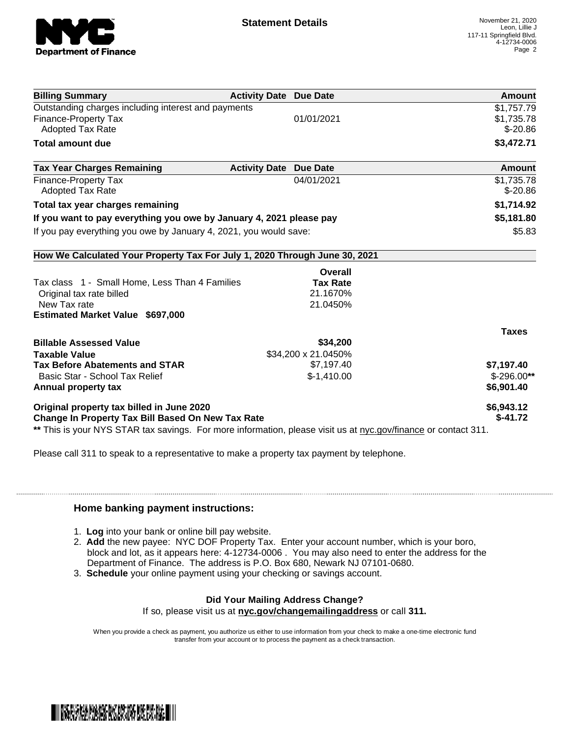

| <b>Billing Summary</b>                                                                                         | <b>Activity Date Due Date</b> | <b>Amount</b> |
|----------------------------------------------------------------------------------------------------------------|-------------------------------|---------------|
| Outstanding charges including interest and payments                                                            |                               | \$1,757.79    |
| <b>Finance-Property Tax</b>                                                                                    | 01/01/2021                    | \$1,735.78    |
| <b>Adopted Tax Rate</b>                                                                                        |                               | $$ -20.86$    |
| <b>Total amount due</b>                                                                                        |                               | \$3,472.71    |
| <b>Tax Year Charges Remaining</b>                                                                              | <b>Activity Date Due Date</b> | <b>Amount</b> |
| <b>Finance-Property Tax</b>                                                                                    | 04/01/2021                    | \$1,735.78    |
| <b>Adopted Tax Rate</b>                                                                                        |                               | $$ -20.86$    |
| Total tax year charges remaining                                                                               |                               | \$1,714.92    |
| If you want to pay everything you owe by January 4, 2021 please pay                                            |                               | \$5,181.80    |
| If you pay everything you owe by January 4, 2021, you would save:                                              |                               | \$5.83        |
| How We Calculated Your Property Tax For July 1, 2020 Through June 30, 2021                                     |                               |               |
|                                                                                                                | Overall                       |               |
| Tax class 1 - Small Home, Less Than 4 Families                                                                 | <b>Tax Rate</b>               |               |
| Original tax rate billed                                                                                       | 21.1670%                      |               |
| New Tax rate                                                                                                   | 21.0450%                      |               |
| <b>Estimated Market Value \$697,000</b>                                                                        |                               |               |
|                                                                                                                |                               | <b>Taxes</b>  |
| <b>Billable Assessed Value</b>                                                                                 | \$34,200                      |               |
| <b>Taxable Value</b>                                                                                           | \$34,200 x 21.0450%           |               |
| <b>Tax Before Abatements and STAR</b>                                                                          | \$7,197.40                    | \$7,197.40    |
| Basic Star - School Tax Relief                                                                                 | $$-1,410.00$                  | $$-296.00**$  |
| Annual property tax                                                                                            |                               | \$6,901.40    |
| Original property tax billed in June 2020                                                                      |                               | \$6,943.12    |
| <b>Change In Property Tax Bill Based On New Tax Rate</b>                                                       |                               | $$-41.72$     |
| ** This is your NYS STAR tax savings. For more information, please visit us at nyc.gov/finance or contact 311. |                               |               |

Please call 311 to speak to a representative to make a property tax payment by telephone.

## **Home banking payment instructions:**

- 1. **Log** into your bank or online bill pay website.
- 2. **Add** the new payee: NYC DOF Property Tax. Enter your account number, which is your boro, block and lot, as it appears here: 4-12734-0006 . You may also need to enter the address for the Department of Finance. The address is P.O. Box 680, Newark NJ 07101-0680.
- 3. **Schedule** your online payment using your checking or savings account.

## **Did Your Mailing Address Change?**

If so, please visit us at **nyc.gov/changemailingaddress** or call **311.**

When you provide a check as payment, you authorize us either to use information from your check to make a one-time electronic fund transfer from your account or to process the payment as a check transaction.